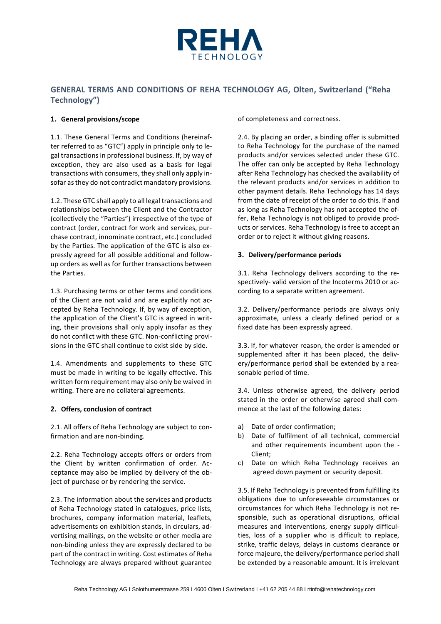

# **GENERAL TERMS AND CONDITIONS OF REHA TECHNOLOGY AG, Olten, Switzerland ("Reha Technology")**

### **1. General provisions/scope**

1.1. These General Terms and Conditions (hereinafter referred to as "GTC") apply in principle only to legal transactions in professional business. If, by way of exception, they are also used as a basis for legal transactions with consumers, they shall only apply insofar as they do not contradict mandatory provisions.

1.2. These GTC shall apply to all legal transactions and relationships between the Client and the Contractor (collectively the "Parties") irrespective of the type of contract (order, contract for work and services, purchase contract, innominate contract, etc.) concluded by the Parties. The application of the GTC is also expressly agreed for all possible additional and followup orders as well as for further transactions between the Parties.

1.3. Purchasing terms or other terms and conditions of the Client are not valid and are explicitly not accepted by Reha Technology. If, by way of exception, the application of the Client's GTC is agreed in writing, their provisions shall only apply insofar as they do not conflict with these GTC. Non-conflicting provisions in the GTC shall continue to exist side by side.

1.4. Amendments and supplements to these GTC must be made in writing to be legally effective. This written form requirement may also only be waived in writing. There are no collateral agreements.

### **2. Offers, conclusion of contract**

2.1. All offers of Reha Technology are subject to confirmation and are non-binding.

2.2. Reha Technology accepts offers or orders from the Client by written confirmation of order. Acceptance may also be implied by delivery of the object of purchase or by rendering the service.

2.3. The information about the services and products of Reha Technology stated in catalogues, price lists, brochures, company information material, leaflets, advertisements on exhibition stands, in circulars, advertising mailings, on the website or other media are non-binding unless they are expressly declared to be part of the contract in writing. Cost estimates of Reha Technology are always prepared without guarantee

of completeness and correctness.

2.4. By placing an order, a binding offer is submitted to Reha Technology for the purchase of the named products and/or services selected under these GTC. The offer can only be accepted by Reha Technology after Reha Technology has checked the availability of the relevant products and/or services in addition to other payment details. Reha Technology has 14 days from the date of receipt of the order to do this. If and as long as Reha Technology has not accepted the offer, Reha Technology is not obliged to provide products or services. Reha Technology is free to accept an order or to reject it without giving reasons.

## **3. Delivery/performance periods**

3.1. Reha Technology delivers according to the respectively- valid version of the Incoterms 2010 or according to a separate written agreement.

3.2. Delivery/performance periods are always only approximate, unless a clearly defined period or a fixed date has been expressly agreed.

3.3. If, for whatever reason, the order is amended or supplemented after it has been placed, the delivery/performance period shall be extended by a reasonable period of time.

3.4. Unless otherwise agreed, the delivery period stated in the order or otherwise agreed shall commence at the last of the following dates:

- a) Date of order confirmation;
- b) Date of fulfilment of all technical, commercial and other requirements incumbent upon the - Client;
- c) Date on which Reha Technology receives an agreed down payment or security deposit.

3.5. If Reha Technology is prevented from fulfilling its obligations due to unforeseeable circumstances or circumstances for which Reha Technology is not responsible, such as operational disruptions, official measures and interventions, energy supply difficulties, loss of a supplier who is difficult to replace, strike, traffic delays, delays in customs clearance or force majeure, the delivery/performance period shall be extended by a reasonable amount. It is irrelevant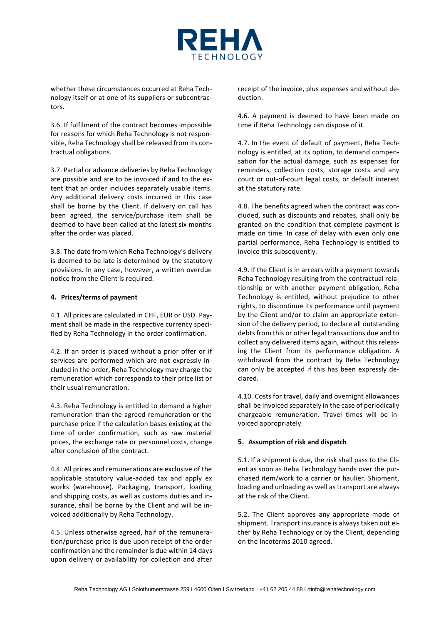

whether these circumstances occurred at Reha Technology itself or at one of its suppliers or subcontractors.

3.6. If fulfilment of the contract becomes impossible for reasons for which Reha Technology is not responsible, Reha Technology shall be released from its contractual obligations.

3.7. Partial or advance deliveries by Reha Technology are possible and are to be invoiced if and to the extent that an order includes separately usable items. Any additional delivery costs incurred in this case shall be borne by the Client. If delivery on call has been agreed, the service/purchase item shall be deemed to have been called at the latest six months after the order was placed.

3.8. The date from which Reha Technology's delivery is deemed to be late is determined by the statutory provisions. In any case, however, a written overdue notice from the Client is required.

#### **4. Prices/terms of payment**

4.1. All prices are calculated in CHF, EUR or USD. Payment shall be made in the respective currency specified by Reha Technology in the order confirmation.

4.2. If an order is placed without a prior offer or if services are performed which are not expressly included in the order, Reha Technology may charge the remuneration which corresponds to their price list or their usual remuneration.

4.3. Reha Technology is entitled to demand a higher remuneration than the agreed remuneration or the purchase price if the calculation bases existing at the time of order confirmation, such as raw material prices, the exchange rate or personnel costs, change after conclusion of the contract.

4.4. All prices and remunerations are exclusive of the applicable statutory value-added tax and apply ex works (warehouse). Packaging, transport, loading and shipping costs, as well as customs duties and insurance, shall be borne by the Client and will be invoiced additionally by Reha Technology.

4.5. Unless otherwise agreed, half of the remuneration/purchase price is due upon receipt of the order confirmation and the remainder is due within 14 days upon delivery or availability for collection and after receipt of the invoice, plus expenses and without deduction.

4.6. A payment is deemed to have been made on time if Reha Technology can dispose of it.

4.7. In the event of default of payment, Reha Technology is entitled, at its option, to demand compensation for the actual damage, such as expenses for reminders, collection costs, storage costs and any court or out-of-court legal costs, or default interest at the statutory rate.

4.8. The benefits agreed when the contract was concluded, such as discounts and rebates, shall only be granted on the condition that complete payment is made on time. In case of delay with even only one partial performance, Reha Technology is entitled to invoice this subsequently.

4.9. If the Client is in arrears with a payment towards Reha Technology resulting from the contractual relationship or with another payment obligation, Reha Technology is entitled, without prejudice to other rights, to discontinue its performance until payment by the Client and/or to claim an appropriate extension of the delivery period, to declare all outstanding debts from this or other legal transactions due and to collect any delivered items again, without this releasing the Client from its performance obligation. A withdrawal from the contract by Reha Technology can only be accepted if this has been expressly declared.

4.10. Costs for travel, daily and overnight allowances shall be invoiced separately in the case of periodically chargeable remuneration. Travel times will be invoiced appropriately.

### **5. Assumption of risk and dispatch**

5.1. If a shipment is due, the risk shall pass to the Client as soon as Reha Technology hands over the purchased item/work to a carrier or haulier. Shipment, loading and unloading as well as transport are always at the risk of the Client.

5.2. The Client approves any appropriate mode of shipment. Transport insurance is always taken out either by Reha Technology or by the Client, depending on the Incoterms 2010 agreed.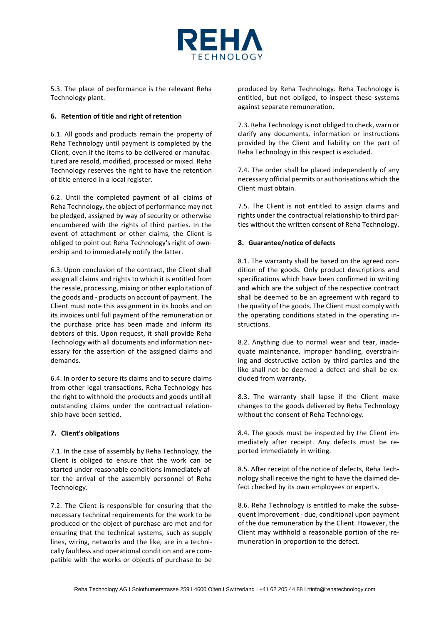

5.3. The place of performance is the relevant Reha Technology plant.

### **6. Retention of title and right of retention**

6.1. All goods and products remain the property of Reha Technology until payment is completed by the Client, even if the items to be delivered or manufactured are resold, modified, processed or mixed. Reha Technology reserves the right to have the retention of title entered in a local register.

6.2. Until the completed payment of all claims of Reha Technology, the object of performance may not be pledged, assigned by way of security or otherwise encumbered with the rights of third parties. In the event of attachment or other claims, the Client is obliged to point out Reha Technology's right of ownership and to immediately notify the latter.

6.3. Upon conclusion of the contract, the Client shall assign all claims and rights to which it is entitled from the resale, processing, mixing or other exploitation of the goods and - products on account of payment. The Client must note this assignment in its books and on its invoices until full payment of the remuneration or the purchase price has been made and inform its debtors of this. Upon request, it shall provide Reha Technology with all documents and information necessary for the assertion of the assigned claims and demands.

6.4. In order to secure its claims and to secure claims from other legal transactions, Reha Technology has the right to withhold the products and goods until all outstanding claims under the contractual relationship have been settled.

# **7. Client's obligations**

7.1. In the case of assembly by Reha Technology, the Client is obliged to ensure that the work can be started under reasonable conditions immediately after the arrival of the assembly personnel of Reha Technology.

7.2. The Client is responsible for ensuring that the necessary technical requirements for the work to be produced or the object of purchase are met and for ensuring that the technical systems, such as supply lines, wiring, networks and the like, are in a technically faultless and operational condition and are compatible with the works or objects of purchase to be produced by Reha Technology. Reha Technology is entitled, but not obliged, to inspect these systems against separate remuneration.

7.3. Reha Technology is not obliged to check, warn or clarify any documents, information or instructions provided by the Client and liability on the part of Reha Technology in this respect is excluded.

7.4. The order shall be placed independently of any necessary official permits or authorisations which the Client must obtain.

7.5. The Client is not entitled to assign claims and rights under the contractual relationship to third parties without the written consent of Reha Technology.

# **8. Guarantee/notice of defects**

8.1. The warranty shall be based on the agreed condition of the goods. Only product descriptions and specifications which have been confirmed in writing and which are the subject of the respective contract shall be deemed to be an agreement with regard to the quality of the goods. The Client must comply with the operating conditions stated in the operating instructions.

8.2. Anything due to normal wear and tear, inadequate maintenance, improper handling, overstraining and destructive action by third parties and the like shall not be deemed a defect and shall be excluded from warranty.

8.3. The warranty shall lapse if the Client make changes to the goods delivered by Reha Technology without the consent of Reha Technology.

8.4. The goods must be inspected by the Client immediately after receipt. Any defects must be reported immediately in writing.

8.5. After receipt of the notice of defects, Reha Technology shall receive the right to have the claimed defect checked by its own employees or experts.

8.6. Reha Technology is entitled to make the subsequent improvement - due, conditional upon payment of the due remuneration by the Client. However, the Client may withhold a reasonable portion of the remuneration in proportion to the defect.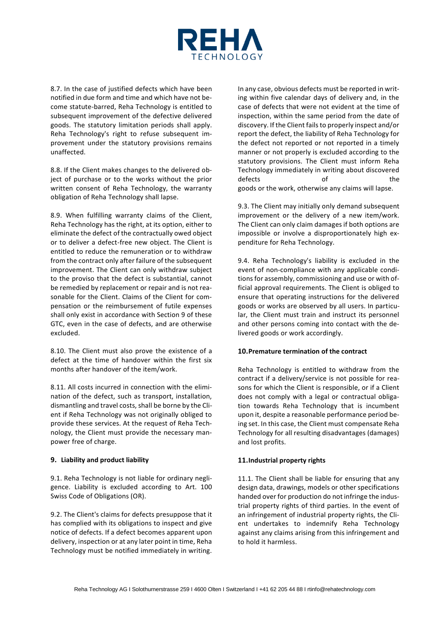

8.7. In the case of justified defects which have been notified in due form and time and which have not become statute-barred, Reha Technology is entitled to subsequent improvement of the defective delivered goods. The statutory limitation periods shall apply. Reha Technology's right to refuse subsequent improvement under the statutory provisions remains unaffected.

8.8. If the Client makes changes to the delivered object of purchase or to the works without the prior written consent of Reha Technology, the warranty obligation of Reha Technology shall lapse.

8.9. When fulfilling warranty claims of the Client, Reha Technology has the right, at its option, either to eliminate the defect of the contractually owed object or to deliver a defect-free new object. The Client is entitled to reduce the remuneration or to withdraw from the contract only after failure of the subsequent improvement. The Client can only withdraw subject to the proviso that the defect is substantial, cannot be remedied by replacement or repair and is not reasonable for the Client. Claims of the Client for compensation or the reimbursement of futile expenses shall only exist in accordance with Section 9 of these GTC, even in the case of defects, and are otherwise excluded.

8.10. The Client must also prove the existence of a defect at the time of handover within the first six months after handover of the item/work.

8.11. All costs incurred in connection with the elimination of the defect, such as transport, installation, dismantling and travel costs, shall be borne by the Client if Reha Technology was not originally obliged to provide these services. At the request of Reha Technology, the Client must provide the necessary manpower free of charge.

#### **9. Liability and product liability**

9.1. Reha Technology is not liable for ordinary negligence. Liability is excluded according to Art. 100 Swiss Code of Obligations (OR).

9.2. The Client's claims for defects presuppose that it has complied with its obligations to inspect and give notice of defects. If a defect becomes apparent upon delivery, inspection or at any later point in time, Reha Technology must be notified immediately in writing.

In any case, obvious defects must be reported in writing within five calendar days of delivery and, in the case of defects that were not evident at the time of inspection, within the same period from the date of discovery. If the Client fails to properly inspect and/or report the defect, the liability of Reha Technology for the defect not reported or not reported in a timely manner or not properly is excluded according to the statutory provisions. The Client must inform Reha Technology immediately in writing about discovered defects of the goods or the work, otherwise any claims will lapse.

9.3. The Client may initially only demand subsequent improvement or the delivery of a new item/work. The Client can only claim damages if both options are impossible or involve a disproportionately high expenditure for Reha Technology.

9.4. Reha Technology's liability is excluded in the event of non-compliance with any applicable conditions for assembly, commissioning and use or with official approval requirements. The Client is obliged to ensure that operating instructions for the delivered goods or works are observed by all users. In particular, the Client must train and instruct its personnel and other persons coming into contact with the delivered goods or work accordingly.

### **10.Premature termination of the contract**

Reha Technology is entitled to withdraw from the contract if a delivery/service is not possible for reasons for which the Client is responsible, or if a Client does not comply with a legal or contractual obligation towards Reha Technology that is incumbent upon it, despite a reasonable performance period being set. In this case, the Client must compensate Reha Technology for all resulting disadvantages (damages) and lost profits.

### **11.Industrial property rights**

11.1. The Client shall be liable for ensuring that any design data, drawings, models or other specifications handed over for production do not infringe the industrial property rights of third parties. In the event of an infringement of industrial property rights, the Client undertakes to indemnify Reha Technology against any claims arising from this infringement and to hold it harmless.